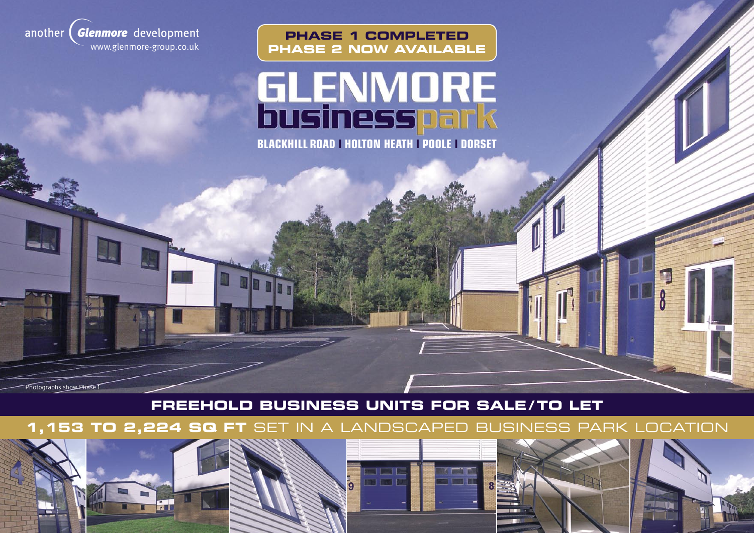

# **GLENMORE**<br>businesspark

**PHASE 1 COMPLETED**

**BLACKHILL ROAD l HOLTON HEATH l POOLE l DORSET**

**FREEHOLD BUSINESS UNITS FOR SALE / TO LET**

**1,153 TO 2,224 SQ FT** SET IN A LANDSCAPED BUSINESS PARK LOCATION



Photographs show Phase